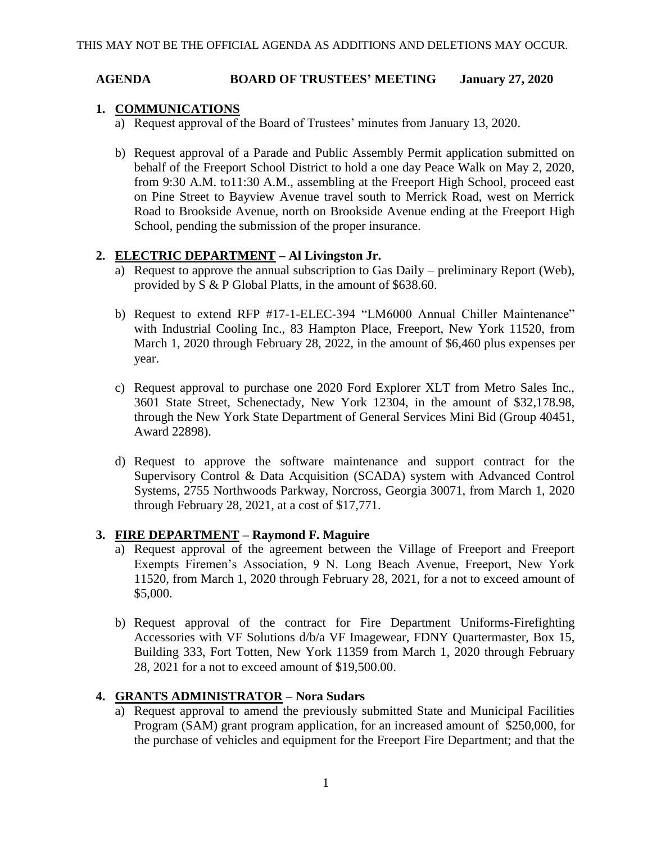#### **AGENDA BOARD OF TRUSTEES' MEETING January 27, 2020**

# **1. COMMUNICATIONS**

- a) Request approval of the Board of Trustees' minutes from January 13, 2020.
- b) Request approval of a Parade and Public Assembly Permit application submitted on behalf of the Freeport School District to hold a one day Peace Walk on May 2, 2020, from 9:30 A.M. to11:30 A.M., assembling at the Freeport High School, proceed east on Pine Street to Bayview Avenue travel south to Merrick Road, west on Merrick Road to Brookside Avenue, north on Brookside Avenue ending at the Freeport High School, pending the submission of the proper insurance.

# **2. ELECTRIC DEPARTMENT – Al Livingston Jr.**

- a) Request to approve the annual subscription to Gas Daily preliminary Report (Web), provided by S & P Global Platts, in the amount of \$638.60.
- b) Request to extend RFP #17-1-ELEC-394 "LM6000 Annual Chiller Maintenance" with Industrial Cooling Inc., 83 Hampton Place, Freeport, New York 11520, from March 1, 2020 through February 28, 2022, in the amount of \$6,460 plus expenses per year.
- c) Request approval to purchase one 2020 Ford Explorer XLT from Metro Sales Inc., 3601 State Street, Schenectady, New York 12304, in the amount of \$32,178.98, through the New York State Department of General Services Mini Bid (Group 40451, Award 22898).
- d) Request to approve the software maintenance and support contract for the Supervisory Control & Data Acquisition (SCADA) system with Advanced Control Systems, 2755 Northwoods Parkway, Norcross, Georgia 30071, from March 1, 2020 through February 28, 2021, at a cost of \$17,771.

# **3. FIRE DEPARTMENT – Raymond F. Maguire**

- a) Request approval of the agreement between the Village of Freeport and Freeport Exempts Firemen's Association, 9 N. Long Beach Avenue, Freeport, New York 11520, from March 1, 2020 through February 28, 2021, for a not to exceed amount of \$5,000.
- b) Request approval of the contract for Fire Department Uniforms-Firefighting Accessories with VF Solutions d/b/a VF Imagewear, FDNY Quartermaster, Box 15, Building 333, Fort Totten, New York 11359 from March 1, 2020 through February 28, 2021 for a not to exceed amount of \$19,500.00.

# **4. GRANTS ADMINISTRATOR – Nora Sudars**

a) Request approval to amend the previously submitted State and Municipal Facilities Program (SAM) grant program application, for an increased amount of \$250,000, for the purchase of vehicles and equipment for the Freeport Fire Department; and that the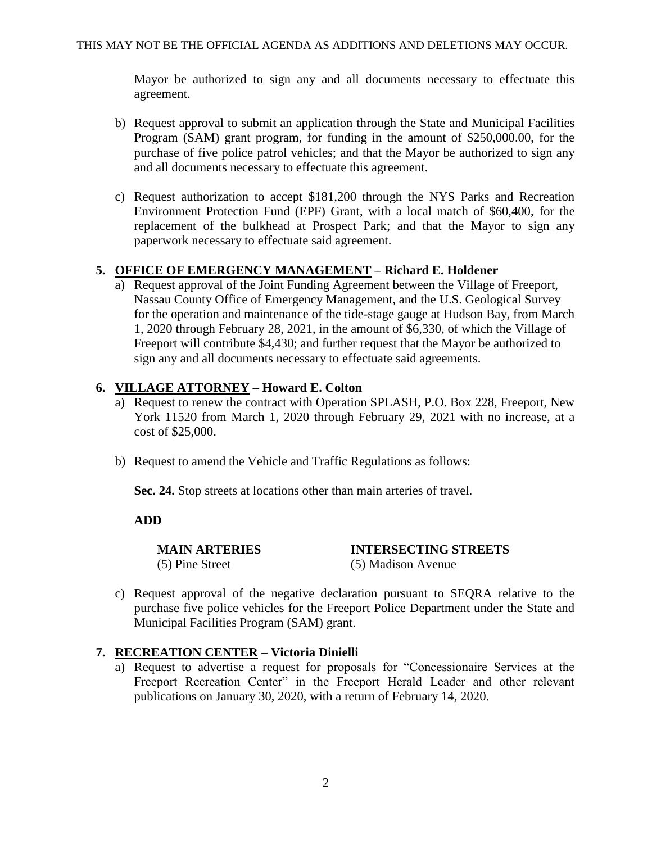Mayor be authorized to sign any and all documents necessary to effectuate this agreement.

- b) Request approval to submit an application through the State and Municipal Facilities Program (SAM) grant program, for funding in the amount of \$250,000.00, for the purchase of five police patrol vehicles; and that the Mayor be authorized to sign any and all documents necessary to effectuate this agreement.
- c) Request authorization to accept \$181,200 through the NYS Parks and Recreation Environment Protection Fund (EPF) Grant, with a local match of \$60,400, for the replacement of the bulkhead at Prospect Park; and that the Mayor to sign any paperwork necessary to effectuate said agreement.

#### **5. OFFICE OF EMERGENCY MANAGEMENT – Richard E. Holdener**

a) Request approval of the Joint Funding Agreement between the Village of Freeport, Nassau County Office of Emergency Management, and the U.S. Geological Survey for the operation and maintenance of the tide-stage gauge at Hudson Bay, from March 1, 2020 through February 28, 2021, in the amount of \$6,330, of which the Village of Freeport will contribute \$4,430; and further request that the Mayor be authorized to sign any and all documents necessary to effectuate said agreements.

# **6. VILLAGE ATTORNEY – Howard E. Colton**

- a) Request to renew the contract with Operation SPLASH, P.O. Box 228, Freeport, New York 11520 from March 1, 2020 through February 29, 2021 with no increase, at a cost of \$25,000.
- b) Request to amend the Vehicle and Traffic Regulations as follows:

**Sec. 24.** Stop streets at locations other than main arteries of travel.

**ADD**

**MAIN ARTERIES INTERSECTING STREETS** (5) Pine Street (5) Madison Avenue

c) Request approval of the negative declaration pursuant to SEQRA relative to the purchase five police vehicles for the Freeport Police Department under the State and Municipal Facilities Program (SAM) grant.

#### **7. RECREATION CENTER – Victoria Dinielli**

a) Request to advertise a request for proposals for "Concessionaire Services at the Freeport Recreation Center" in the Freeport Herald Leader and other relevant publications on January 30, 2020, with a return of February 14, 2020.